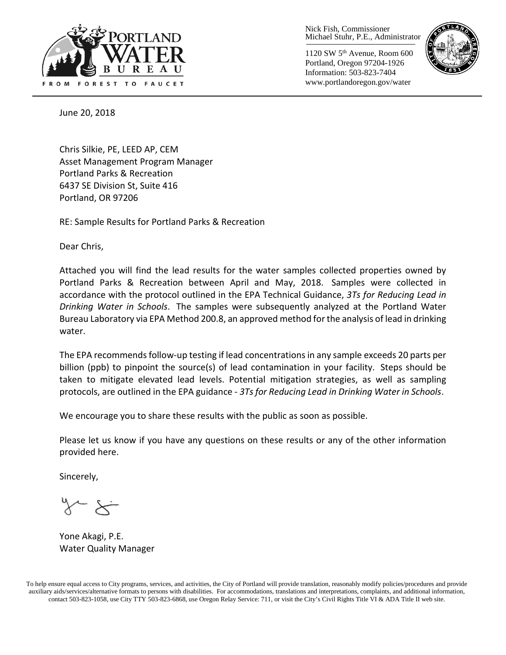

Nick Fish, Commissioner Michael Stuhr, P.E., Administrator

1120 SW 5th Avenue, Room 600 Portland, Oregon 97204-1926 Information: 503-823-7404 www.portlandoregon.gov/water



June 20, 2018

Chris Silkie, PE, LEED AP, CEM Asset Management Program Manager Portland Parks & Recreation 6437 SE Division St, Suite 416 Portland, OR 97206

RE: Sample Results for Portland Parks & Recreation

Dear Chris,

Attached you will find the lead results for the water samples collected properties owned by Portland Parks & Recreation between April and May, 2018. Samples were collected in accordance with the protocol outlined in the EPA Technical Guidance, *3Ts for Reducing Lead in Drinking Water in Schools*. The samples were subsequently analyzed at the Portland Water Bureau Laboratory via EPA Method 200.8, an approved method for the analysis of lead in drinking water.

The EPA recommends follow-up testing if lead concentrations in any sample exceeds 20 parts per billion (ppb) to pinpoint the source(s) of lead contamination in your facility. Steps should be taken to mitigate elevated lead levels. Potential mitigation strategies, as well as sampling protocols, are outlined in the EPA guidance - *3Ts for Reducing Lead in Drinking Water in Schools*.

We encourage you to share these results with the public as soon as possible.

Please let us know if you have any questions on these results or any of the other information provided here.

Sincerely,

Yone Akagi, P.E. Water Quality Manager

To help ensure equal access to City programs, services, and activities, the City of Portland will provide translation, reasonably modify policies/procedures and provide auxiliary aids/services/alternative formats to persons with disabilities. For accommodations, translations and interpretations, complaints, and additional information, contact 503-823-1058, use City TTY 503-823-6868, use Oregon Relay Service: 711, or visi[t the City's Civil Rights Title VI & ADA Title II web site.](http://www.portlandoregon.gov/oehr/66458)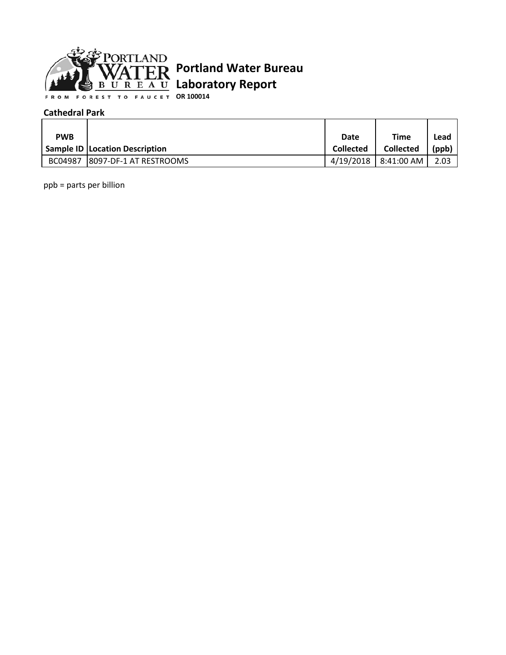

**OR 100014**

#### **Cathedral Park**

| <b>PWB</b> |                                       | Date             | Time                 | Lead  |
|------------|---------------------------------------|------------------|----------------------|-------|
|            | <b>Sample ID Location Description</b> | <b>Collected</b> | <b>Collected</b>     | (ppb) |
|            | BC04987 8097-DF-1 AT RESTROOMS        | 4/19/2018        | $8:41:00$ AM $\vert$ | 2.03  |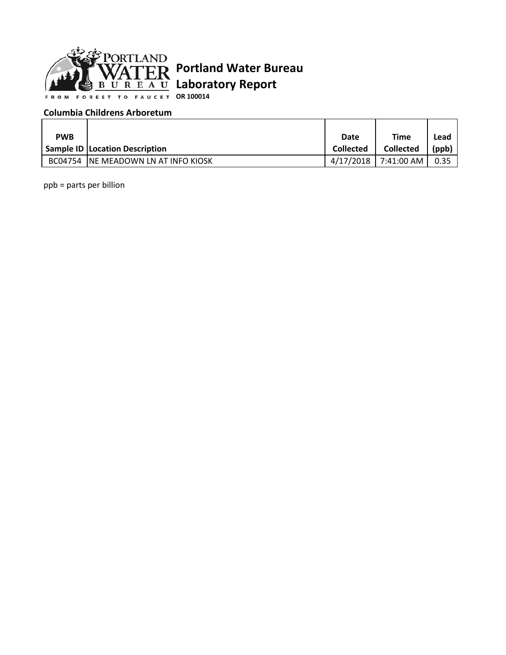

**OR 100014**

### **Columbia Childrens Arboretum**

| <b>PWB</b> |                                       | Date             | <b>Time</b>      | Lead     |
|------------|---------------------------------------|------------------|------------------|----------|
|            | <b>Sample ID Location Description</b> | <b>Collected</b> | <b>Collected</b> | $'$ ppb) |
|            | BC04754 INE MEADOWN LN AT INFO KIOSK  | 4/17/2018        | 7:41:00 AM       | 0.35     |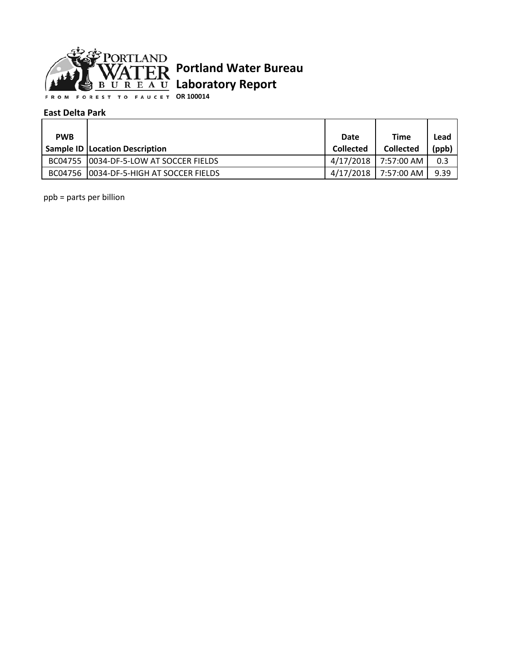

**OR 100014**

#### **East Delta Park**

| <b>PWB</b> |                                          | Date             | <b>Time</b>          | Lead  |
|------------|------------------------------------------|------------------|----------------------|-------|
|            | <b>Sample ID   Location Description</b>  | <b>Collected</b> | <b>Collected</b>     | (ppb) |
|            | BC04755   0034-DF-5-LOW AT SOCCER FIELDS |                  | 4/17/2018 7:57:00 AM | 0.3   |
|            | BC04756 10034-DF-5-HIGH AT SOCCER FIELDS |                  | 4/17/2018 7:57:00 AM | 9.39  |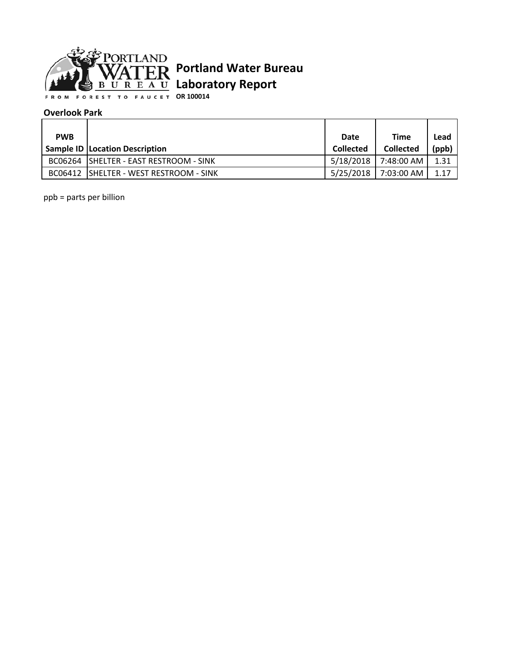

**OR 100014**

#### **Overlook Park**

| <b>PWB</b> |                                         | Date             | <b>Time</b>          | Lead  |
|------------|-----------------------------------------|------------------|----------------------|-------|
|            | <b>Sample ID Location Description</b>   | <b>Collected</b> | <b>Collected</b>     | (ppb) |
|            | BC06264 SHELTER - EAST RESTROOM - SINK  | 5/18/2018 l      | 7:48:00 AM           | 1.31  |
|            | BC06412 ISHELTER - WEST RESTROOM - SINK |                  | 5/25/2018 7:03:00 AM | 1.17  |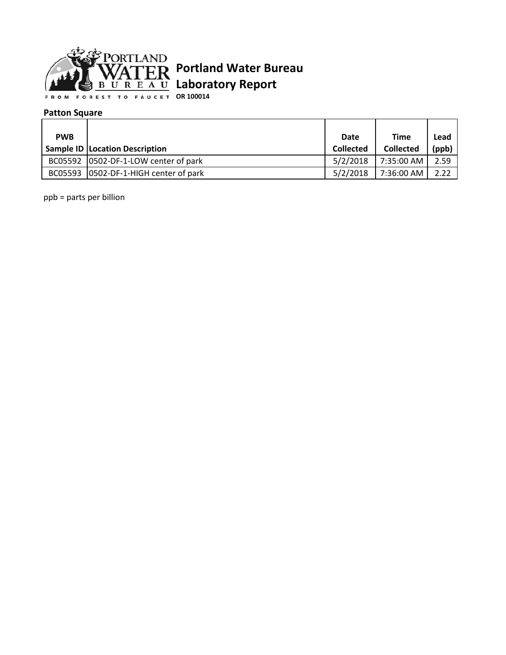

**OR 100014**

### **Patton Square**

| <b>PWB</b> |                                         | Date             | <b>Time</b>      | Lead  |
|------------|-----------------------------------------|------------------|------------------|-------|
|            | Sample ID   Location Description        | <b>Collected</b> | <b>Collected</b> | (ppb) |
|            | BC05592   0502-DF-1-LOW center of park  | 5/2/2018         | 7:35:00 AM       | 2.59  |
|            | BC05593   0502-DF-1-HIGH center of park | 5/2/2018         | 7:36:00 AM       | 2.22  |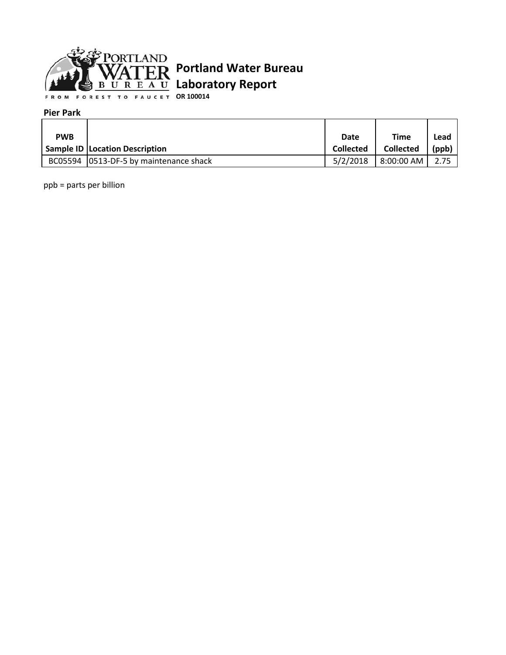

**OR 100014**

#### **Pier Park**

| <b>PWB</b> |                                          | Date             | Time                     | Lead  |
|------------|------------------------------------------|------------------|--------------------------|-------|
|            | Sample ID   Location Description         | <b>Collected</b> | <b>Collected</b>         | (ppb) |
|            | BC05594   0513-DF-5 by maintenance shack | 5/2/2018         | $8:00:00$ AM $\parallel$ | 2.75  |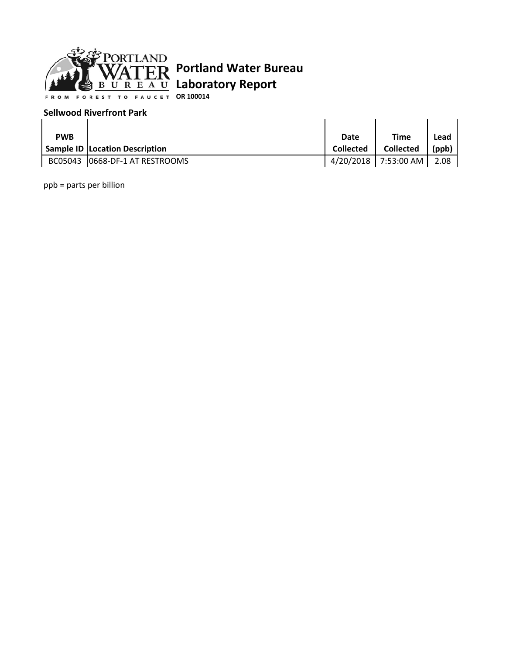

**OR 100014**

### **Sellwood Riverfront Park**

| <b>PWB</b> |                                       | Date             | Time             | Lead  |
|------------|---------------------------------------|------------------|------------------|-------|
|            | <b>Sample ID Location Description</b> | <b>Collected</b> | <b>Collected</b> | (ppb) |
|            | BC05043 10668-DF-1 AT RESTROOMS       | 4/20/2018        | 7:53:00 AM I     | 2.08  |